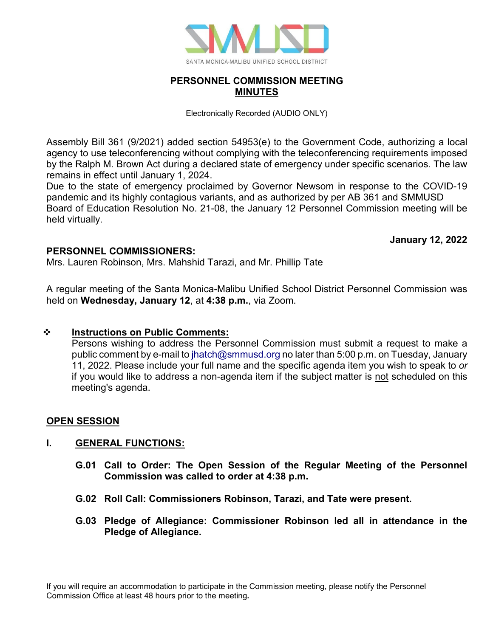

# **PERSONNEL COMMISSION MEETING MINUTES**

Electronically Recorded (AUDIO ONLY)

Assembly Bill 361 (9/2021) added section 54953(e) to the Government Code, authorizing a local agency to use teleconferencing without complying with the teleconferencing requirements imposed by the Ralph M. Brown Act during a declared state of emergency under specific scenarios. The law remains in effect until January 1, 2024.

Due to the state of emergency proclaimed by Governor Newsom in response to the COVID-19 pandemic and its highly contagious variants, and as authorized by per AB 361 and SMMUSD Board of Education Resolution No. 21-08, the January 12 Personnel Commission meeting will be held virtually.

**January 12, 2022**

# **PERSONNEL COMMISSIONERS:**

Mrs. Lauren Robinson, Mrs. Mahshid Tarazi, and Mr. Phillip Tate

A regular meeting of the Santa Monica-Malibu Unified School District Personnel Commission was held on **Wednesday, January 12**, at **4:38 p.m.**, via Zoom.

# **Instructions on Public Comments:**

Persons wishing to address the Personnel Commission must submit a request to make a public comment by e-mail to [jhatch@smmusd.org](mailto:jhatch@smmusd.org) no later than 5:00 p.m. on Tuesday, January 11, 2022. Please include your full name and the specific agenda item you wish to speak to *or* if you would like to address a non-agenda item if the subject matter is not scheduled on this meeting's agenda.

# **OPEN SESSION**

# **I. GENERAL FUNCTIONS:**

- **G.01 Call to Order: The Open Session of the Regular Meeting of the Personnel Commission was called to order at 4:38 p.m.**
- **G.02 Roll Call: Commissioners Robinson, Tarazi, and Tate were present.**
- **G.03 Pledge of Allegiance: Commissioner Robinson led all in attendance in the Pledge of Allegiance.**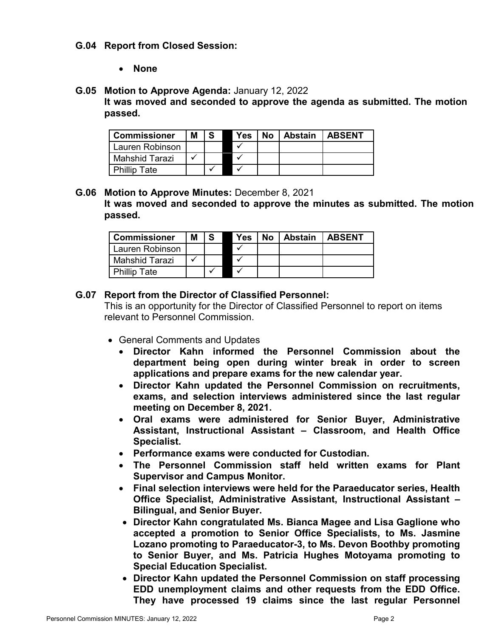# **G.04 Report from Closed Session:**

• **None**

### **G.05 Motion to Approve Agenda:** January 12, 2022

**It was moved and seconded to approve the agenda as submitted. The motion passed.**

| <b>Commissioner</b> | Μ |  | Yes | No | Abstain | <b>LABSENT</b> |
|---------------------|---|--|-----|----|---------|----------------|
| Lauren Robinson     |   |  |     |    |         |                |
| Mahshid Tarazi      |   |  |     |    |         |                |
| <b>Phillip Tate</b> |   |  |     |    |         |                |

**G.06 Motion to Approve Minutes:** December 8, 2021 **It was moved and seconded to approve the minutes as submitted. The motion passed.**

| <b>Commissioner</b> | М |  | Yes | <b>No</b> | <b>Abstain</b> | <b>LABSENT</b> |
|---------------------|---|--|-----|-----------|----------------|----------------|
| Lauren Robinson     |   |  |     |           |                |                |
| Mahshid Tarazi      |   |  |     |           |                |                |
| <b>Phillip Tate</b> |   |  |     |           |                |                |

#### **G.07 Report from the Director of Classified Personnel:**

This is an opportunity for the Director of Classified Personnel to report on items relevant to Personnel Commission.

- General Comments and Updates
	- **Director Kahn informed the Personnel Commission about the department being open during winter break in order to screen applications and prepare exams for the new calendar year.**
	- **Director Kahn updated the Personnel Commission on recruitments, exams, and selection interviews administered since the last regular meeting on December 8, 2021.**
	- **Oral exams were administered for Senior Buyer, Administrative Assistant, Instructional Assistant – Classroom, and Health Office Specialist.**
	- **Performance exams were conducted for Custodian.**
	- **The Personnel Commission staff held written exams for Plant Supervisor and Campus Monitor.**
	- **Final selection interviews were held for the Paraeducator series, Health Office Specialist, Administrative Assistant, Instructional Assistant – Bilingual, and Senior Buyer.**
	- **Director Kahn congratulated Ms. Bianca Magee and Lisa Gaglione who accepted a promotion to Senior Office Specialists, to Ms. Jasmine Lozano promoting to Paraeducator-3, to Ms. Devon Boothby promoting to Senior Buyer, and Ms. Patricia Hughes Motoyama promoting to Special Education Specialist.**
	- **Director Kahn updated the Personnel Commission on staff processing EDD unemployment claims and other requests from the EDD Office. They have processed 19 claims since the last regular Personnel**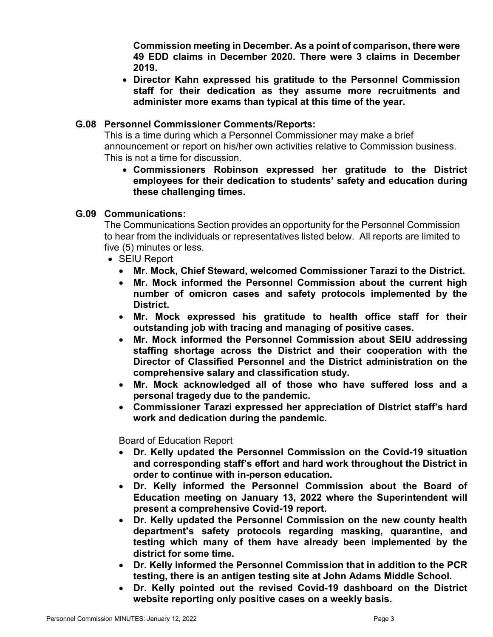**Commission meeting in December. As a point of comparison, there were 49 EDD claims in December 2020. There were 3 claims in December 2019.** 

• **Director Kahn expressed his gratitude to the Personnel Commission staff for their dedication as they assume more recruitments and administer more exams than typical at this time of the year.** 

# **G.08 Personnel Commissioner Comments/Reports:**

This is a time during which a Personnel Commissioner may make a brief announcement or report on his/her own activities relative to Commission business. This is not a time for discussion.

• **Commissioners Robinson expressed her gratitude to the District employees for their dedication to students' safety and education during these challenging times.**

# **G.09 Communications:**

The Communications Section provides an opportunity for the Personnel Commission to hear from the individuals or representatives listed below. All reports are limited to five (5) minutes or less.

- SEIU Report
	- **Mr. Mock, Chief Steward, welcomed Commissioner Tarazi to the District.**
	- **Mr. Mock informed the Personnel Commission about the current high number of omicron cases and safety protocols implemented by the District.**
	- **Mr. Mock expressed his gratitude to health office staff for their outstanding job with tracing and managing of positive cases.**
	- **Mr. Mock informed the Personnel Commission about SEIU addressing staffing shortage across the District and their cooperation with the Director of Classified Personnel and the District administration on the comprehensive salary and classification study.**
	- **Mr. Mock acknowledged all of those who have suffered loss and a personal tragedy due to the pandemic.**
	- **Commissioner Tarazi expressed her appreciation of District staff's hard work and dedication during the pandemic.**

Board of Education Report

- **Dr. Kelly updated the Personnel Commission on the Covid-19 situation and corresponding staff's effort and hard work throughout the District in order to continue with in-person education.**
- **Dr. Kelly informed the Personnel Commission about the Board of Education meeting on January 13, 2022 where the Superintendent will present a comprehensive Covid-19 report.**
- **Dr. Kelly updated the Personnel Commission on the new county health department's safety protocols regarding masking, quarantine, and testing which many of them have already been implemented by the district for some time.**
- **Dr. Kelly informed the Personnel Commission that in addition to the PCR testing, there is an antigen testing site at John Adams Middle School.**
- **Dr. Kelly pointed out the revised Covid-19 dashboard on the District website reporting only positive cases on a weekly basis.**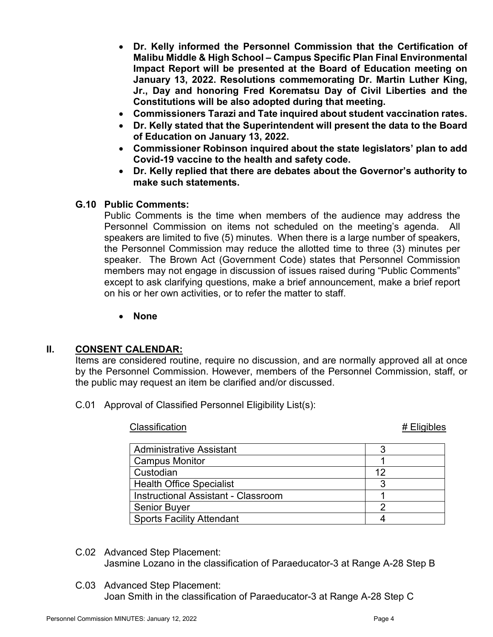- **Dr. Kelly informed the Personnel Commission that the Certification of Malibu Middle & High School – Campus Specific Plan Final Environmental Impact Report will be presented at the Board of Education meeting on January 13, 2022. Resolutions commemorating Dr. Martin Luther King, Jr., Day and honoring Fred Korematsu Day of Civil Liberties and the Constitutions will be also adopted during that meeting.**
- **Commissioners Tarazi and Tate inquired about student vaccination rates.**
- **Dr. Kelly stated that the Superintendent will present the data to the Board of Education on January 13, 2022.**
- **Commissioner Robinson inquired about the state legislators' plan to add Covid-19 vaccine to the health and safety code.**
- **Dr. Kelly replied that there are debates about the Governor's authority to make such statements.**

# **G.10 Public Comments:**

Public Comments is the time when members of the audience may address the Personnel Commission on items not scheduled on the meeting's agenda. All speakers are limited to five (5) minutes. When there is a large number of speakers, the Personnel Commission may reduce the allotted time to three (3) minutes per speaker. The Brown Act (Government Code) states that Personnel Commission members may not engage in discussion of issues raised during "Public Comments" except to ask clarifying questions, make a brief announcement, make a brief report on his or her own activities, or to refer the matter to staff.

• **None**

# **II. CONSENT CALENDAR:**

Items are considered routine, require no discussion, and are normally approved all at once by the Personnel Commission. However, members of the Personnel Commission, staff, or the public may request an item be clarified and/or discussed.

C.01 Approval of Classified Personnel Eligibility List(s):

Classification **All Accords**  $\mathcal{L}$  Eligibles **# Eligibles** 

| <b>Administrative Assistant</b>     |  |
|-------------------------------------|--|
| <b>Campus Monitor</b>               |  |
| Custodian                           |  |
| <b>Health Office Specialist</b>     |  |
| Instructional Assistant - Classroom |  |
| <b>Senior Buyer</b>                 |  |
| <b>Sports Facility Attendant</b>    |  |

- C.02 Advanced Step Placement: Jasmine Lozano in the classification of Paraeducator-3 at Range A-28 Step B
- C.03 Advanced Step Placement: Joan Smith in the classification of Paraeducator-3 at Range A-28 Step C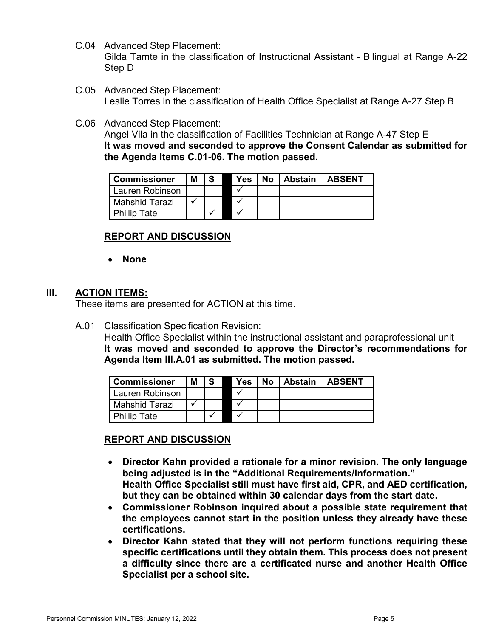- C.04 Advanced Step Placement: Gilda Tamte in the classification of Instructional Assistant - Bilingual at Range A-22 Step D
- C.05 Advanced Step Placement: Leslie Torres in the classification of Health Office Specialist at Range A-27 Step B
- C.06 Advanced Step Placement:

Angel Vila in the classification of Facilities Technician at Range A-47 Step E **It was moved and seconded to approve the Consent Calendar as submitted for the Agenda Items C.01-06. The motion passed.**

| <b>Commissioner</b> | м | l S | <b>Yes</b> | No   Abstain   ABSENT |  |
|---------------------|---|-----|------------|-----------------------|--|
| Lauren Robinson     |   |     |            |                       |  |
| Mahshid Tarazi      |   |     |            |                       |  |
| <b>Phillip Tate</b> |   |     |            |                       |  |

# **REPORT AND DISCUSSION**

• **None**

### **III. ACTION ITEMS:**

These items are presented for ACTION at this time.

A.01 Classification Specification Revision:

Health Office Specialist within the instructional assistant and paraprofessional unit **It was moved and seconded to approve the Director's recommendations for Agenda Item III.A.01 as submitted. The motion passed.**

| <b>Commissioner</b> | Μ | l S | <b>Yes</b> | No   Abstain   ABSENT |  |
|---------------------|---|-----|------------|-----------------------|--|
| Lauren Robinson     |   |     |            |                       |  |
| Mahshid Tarazi      |   |     |            |                       |  |
| <b>Phillip Tate</b> |   |     |            |                       |  |

# **REPORT AND DISCUSSION**

- **Director Kahn provided a rationale for a minor revision. The only language being adjusted is in the "Additional Requirements/Information." Health Office Specialist still must have first aid, CPR, and AED certification, but they can be obtained within 30 calendar days from the start date.**
- **Commissioner Robinson inquired about a possible state requirement that the employees cannot start in the position unless they already have these certifications.**
- **Director Kahn stated that they will not perform functions requiring these specific certifications until they obtain them. This process does not present a difficulty since there are a certificated nurse and another Health Office Specialist per a school site.**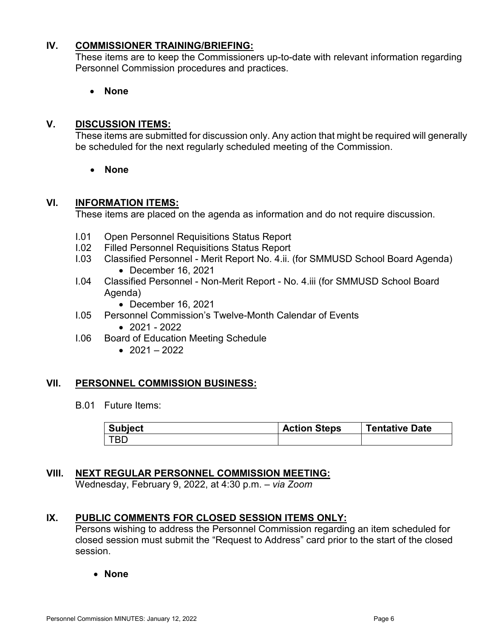# **IV. COMMISSIONER TRAINING/BRIEFING:**

These items are to keep the Commissioners up-to-date with relevant information regarding Personnel Commission procedures and practices.

• **None**

# **V. DISCUSSION ITEMS:**

These items are submitted for discussion only. Any action that might be required will generally be scheduled for the next regularly scheduled meeting of the Commission.

• **None**

#### **VI. INFORMATION ITEMS:**

These items are placed on the agenda as information and do not require discussion.

- I.01 Open Personnel Requisitions Status Report
- I.02 Filled Personnel Requisitions Status Report
- I.03 Classified Personnel Merit Report No. 4.ii. (for SMMUSD School Board Agenda) • December 16, 2021
- I.04 Classified Personnel Non-Merit Report No. 4.iii (for SMMUSD School Board Agenda)
	- December 16, 2021
- I.05 Personnel Commission's Twelve-Month Calendar of Events
	- $2021 2022$
- I.06 Board of Education Meeting Schedule
	- $2021 2022$

#### **VII. PERSONNEL COMMISSION BUSINESS:**

B.01 Future Items:

| <b>Subject</b> | <b>Action Steps</b> | <b>Tentative Date</b> |
|----------------|---------------------|-----------------------|
| <b>TBD</b>     |                     |                       |

# **VIII. NEXT REGULAR PERSONNEL COMMISSION MEETING:**

Wednesday, February 9, 2022, at 4:30 p.m. – *via Zoom*

# **IX. PUBLIC COMMENTS FOR CLOSED SESSION ITEMS ONLY:**

Persons wishing to address the Personnel Commission regarding an item scheduled for closed session must submit the "Request to Address" card prior to the start of the closed session.

• **None**